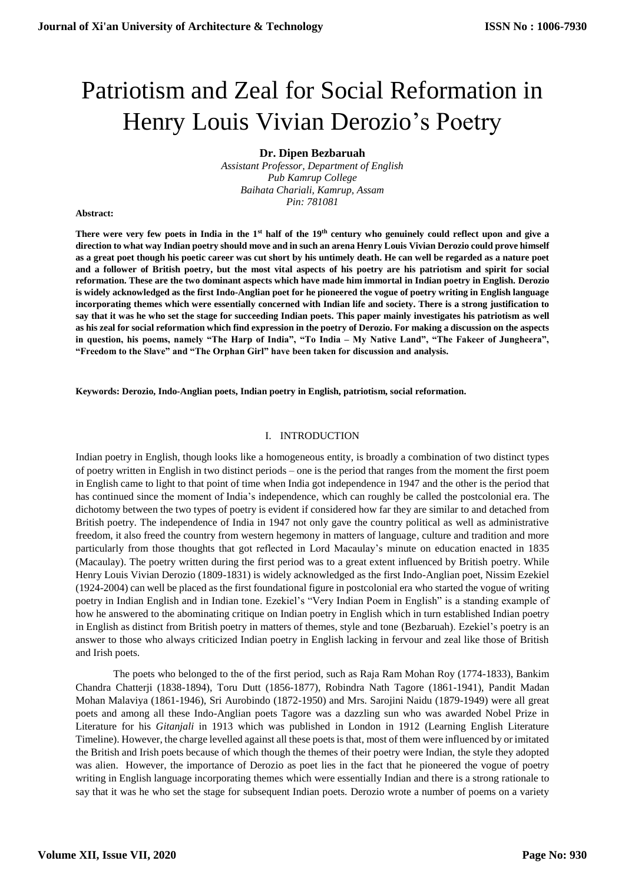# Patriotism and Zeal for Social Reformation in Henry Louis Vivian Derozio's Poetry

# **Dr. Dipen Bezbaruah**

*Assistant Professor, Department of English Pub Kamrup College Baihata Chariali, Kamrup, Assam Pin: 781081*

#### **Abstract:**

**There were very few poets in India in the 1st half of the 19th century who genuinely could reflect upon and give a direction to what way Indian poetry should move and in such an arena Henry Louis Vivian Derozio could prove himself as a great poet though his poetic career was cut short by his untimely death. He can well be regarded as a nature poet and a follower of British poetry, but the most vital aspects of his poetry are his patriotism and spirit for social reformation. These are the two dominant aspects which have made him immortal in Indian poetry in English. Derozio is widely acknowledged as the first Indo-Anglian poet for he pioneered the vogue of poetry writing in English language incorporating themes which were essentially concerned with Indian life and society. There is a strong justification to say that it was he who set the stage for succeeding Indian poets. This paper mainly investigates his patriotism as well as his zeal for social reformation which find expression in the poetry of Derozio. For making a discussion on the aspects in question, his poems, namely "The Harp of India", "To India – My Native Land", "The Fakeer of Jungheera", "Freedom to the Slave" and "The Orphan Girl" have been taken for discussion and analysis.**

**Keywords: Derozio, Indo-Anglian poets, Indian poetry in English, patriotism, social reformation.**

#### I. INTRODUCTION

Indian poetry in English, though looks like a homogeneous entity, is broadly a combination of two distinct types of poetry written in English in two distinct periods – one is the period that ranges from the moment the first poem in English came to light to that point of time when India got independence in 1947 and the other is the period that has continued since the moment of India's independence, which can roughly be called the postcolonial era. The dichotomy between the two types of poetry is evident if considered how far they are similar to and detached from British poetry. The independence of India in 1947 not only gave the country political as well as administrative freedom, it also freed the country from western hegemony in matters of language, culture and tradition and more particularly from those thoughts that got reflected in Lord Macaulay's minute on education enacted in 1835 (Macaulay). The poetry written during the first period was to a great extent influenced by British poetry. While Henry Louis Vivian Derozio (1809-1831) is widely acknowledged as the first Indo-Anglian poet, Nissim Ezekiel (1924-2004) can well be placed as the first foundational figure in postcolonial era who started the vogue of writing poetry in Indian English and in Indian tone. Ezekiel's "Very Indian Poem in English" is a standing example of how he answered to the abominating critique on Indian poetry in English which in turn established Indian poetry in English as distinct from British poetry in matters of themes, style and tone (Bezbaruah). Ezekiel's poetry is an answer to those who always criticized Indian poetry in English lacking in fervour and zeal like those of British and Irish poets.

The poets who belonged to the of the first period, such as Raja Ram Mohan Roy (1774-1833), Bankim Chandra Chatterji (1838-1894), Toru Dutt (1856-1877), Robindra Nath Tagore (1861-1941), Pandit Madan Mohan Malaviya (1861-1946), Sri Aurobindo (1872-1950) and Mrs. Sarojini Naidu (1879-1949) were all great poets and among all these Indo-Anglian poets Tagore was a dazzling sun who was awarded Nobel Prize in Literature for his *Gitanjali* in 1913 which was published in London in 1912 (Learning English Literature Timeline). However, the charge levelled against all these poets is that, most of them were influenced by or imitated the British and Irish poets because of which though the themes of their poetry were Indian, the style they adopted was alien. However, the importance of Derozio as poet lies in the fact that he pioneered the vogue of poetry writing in English language incorporating themes which were essentially Indian and there is a strong rationale to say that it was he who set the stage for subsequent Indian poets. Derozio wrote a number of poems on a variety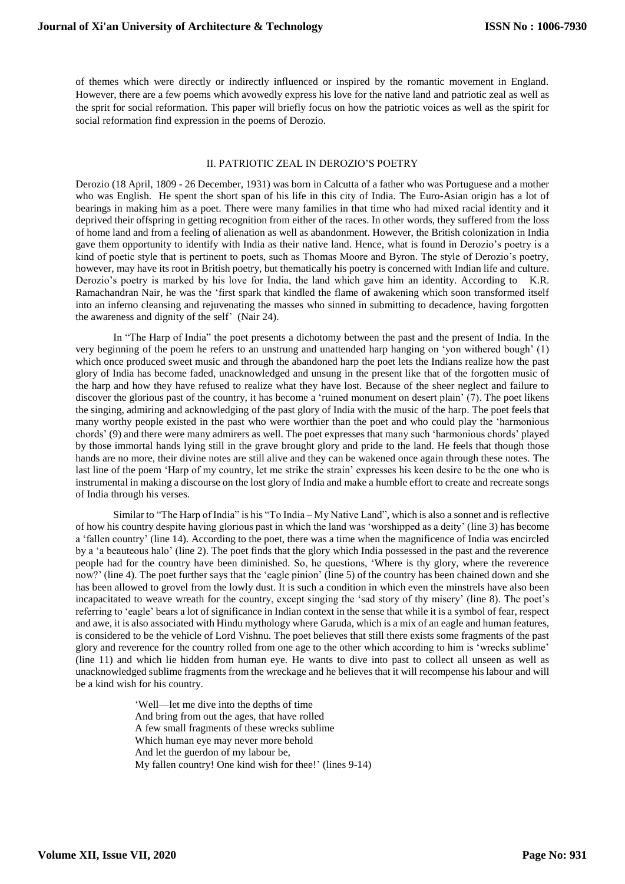of themes which were directly or indirectly influenced or inspired by the romantic movement in England. However, there are a few poems which avowedly express his love for the native land and patriotic zeal as well as the sprit for social reformation. This paper will briefly focus on how the patriotic voices as well as the spirit for social reformation find expression in the poems of Derozio.

#### II. PATRIOTIC ZEAL IN DEROZIO'S POETRY

Derozio (18 April, 1809 - 26 December, 1931) was born in Calcutta of a father who was Portuguese and a mother who was English. He spent the short span of his life in this city of India. The Euro-Asian origin has a lot of bearings in making him as a poet. There were many families in that time who had mixed racial identity and it deprived their offspring in getting recognition from either of the races. In other words, they suffered from the loss of home land and from a feeling of alienation as well as abandonment. However, the British colonization in India gave them opportunity to identify with India as their native land. Hence, what is found in Derozio's poetry is a kind of poetic style that is pertinent to poets, such as Thomas Moore and Byron. The style of Derozio's poetry, however, may have its root in British poetry, but thematically his poetry is concerned with Indian life and culture. Derozio's poetry is marked by his love for India, the land which gave him an identity. According to K.R. Ramachandran Nair, he was the 'first spark that kindled the flame of awakening which soon transformed itself into an inferno cleansing and rejuvenating the masses who sinned in submitting to decadence, having forgotten the awareness and dignity of the self' (Nair 24).

In "The Harp of India" the poet presents a dichotomy between the past and the present of India. In the very beginning of the poem he refers to an unstrung and unattended harp hanging on 'yon withered bough' (1) which once produced sweet music and through the abandoned harp the poet lets the Indians realize how the past glory of India has become faded, unacknowledged and unsung in the present like that of the forgotten music of the harp and how they have refused to realize what they have lost. Because of the sheer neglect and failure to discover the glorious past of the country, it has become a 'ruined monument on desert plain' (7). The poet likens the singing, admiring and acknowledging of the past glory of India with the music of the harp. The poet feels that many worthy people existed in the past who were worthier than the poet and who could play the 'harmonious chords' (9) and there were many admirers as well. The poet expresses that many such 'harmonious chords' played by those immortal hands lying still in the grave brought glory and pride to the land. He feels that though those hands are no more, their divine notes are still alive and they can be wakened once again through these notes. The last line of the poem 'Harp of my country, let me strike the strain' expresses his keen desire to be the one who is instrumental in making a discourse on the lost glory of India and make a humble effort to create and recreate songs of India through his verses.

Similar to "The Harp of India" is his "To India – My Native Land", which is also a sonnet and is reflective of how his country despite having glorious past in which the land was 'worshipped as a deity' (line 3) has become a 'fallen country' (line 14). According to the poet, there was a time when the magnificence of India was encircled by a 'a beauteous halo' (line 2). The poet finds that the glory which India possessed in the past and the reverence people had for the country have been diminished. So, he questions, 'Where is thy glory, where the reverence now?' (line 4). The poet further says that the 'eagle pinion' (line 5) of the country has been chained down and she has been allowed to grovel from the lowly dust. It is such a condition in which even the minstrels have also been incapacitated to weave wreath for the country, except singing the 'sad story of thy misery' (line 8). The poet's referring to 'eagle' bears a lot of significance in Indian context in the sense that while it is a symbol of fear, respect and awe, it is also associated with Hindu mythology where Garuda, which is a mix of an eagle and human features, is considered to be the vehicle of Lord Vishnu. The poet believes that still there exists some fragments of the past glory and reverence for the country rolled from one age to the other which according to him is 'wrecks sublime' (line 11) and which lie hidden from human eye. He wants to dive into past to collect all unseen as well as unacknowledged sublime fragments from the wreckage and he believes that it will recompense his labour and will be a kind wish for his country.

> 'Well—let me dive into the depths of time And bring from out the ages, that have rolled A few small fragments of these wrecks sublime Which human eye may never more behold And let the guerdon of my labour be, My fallen country! One kind wish for thee!' (lines 9-14)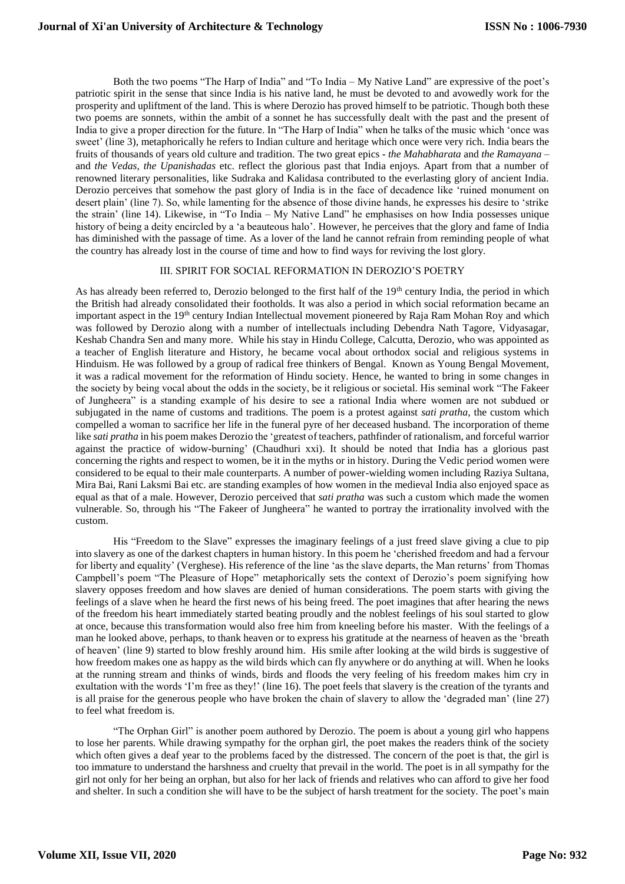Both the two poems "The Harp of India" and "To India – My Native Land" are expressive of the poet's patriotic spirit in the sense that since India is his native land, he must be devoted to and avowedly work for the prosperity and upliftment of the land. This is where Derozio has proved himself to be patriotic. Though both these two poems are sonnets, within the ambit of a sonnet he has successfully dealt with the past and the present of India to give a proper direction for the future. In "The Harp of India" when he talks of the music which 'once was sweet' (line 3), metaphorically he refers to Indian culture and heritage which once were very rich. India bears the fruits of thousands of years old culture and tradition. The two great epics - *the Mahabharata* and *the Ramayana* – and *the Vedas*, *the Upanishadas* etc. reflect the glorious past that India enjoys. Apart from that a number of renowned literary personalities, like Sudraka and Kalidasa contributed to the everlasting glory of ancient India. Derozio perceives that somehow the past glory of India is in the face of decadence like 'ruined monument on desert plain' (line 7). So, while lamenting for the absence of those divine hands, he expresses his desire to 'strike the strain' (line 14). Likewise, in "To India – My Native Land" he emphasises on how India possesses unique history of being a deity encircled by a 'a beauteous halo'. However, he perceives that the glory and fame of India has diminished with the passage of time. As a lover of the land he cannot refrain from reminding people of what the country has already lost in the course of time and how to find ways for reviving the lost glory.

## III. SPIRIT FOR SOCIAL REFORMATION IN DEROZIO'S POETRY

As has already been referred to, Derozio belonged to the first half of the  $19<sup>th</sup>$  century India, the period in which the British had already consolidated their footholds. It was also a period in which social reformation became an important aspect in the 19<sup>th</sup> century Indian Intellectual movement pioneered by Raja Ram Mohan Roy and which was followed by Derozio along with a number of intellectuals including Debendra Nath Tagore, Vidyasagar, Keshab Chandra Sen and many more. While his stay in Hindu College, Calcutta, Derozio, who was appointed as a teacher of English literature and History, he became vocal about orthodox social and religious systems in Hinduism. He was followed by a group of radical free thinkers of Bengal. Known as Young Bengal Movement, it was a radical movement for the reformation of Hindu society. Hence, he wanted to bring in some changes in the society by being vocal about the odds in the society, be it religious or societal. His seminal work "The Fakeer of Jungheera" is a standing example of his desire to see a rational India where women are not subdued or subjugated in the name of customs and traditions. The poem is a protest against *sati pratha*, the custom which compelled a woman to sacrifice her life in the funeral pyre of her deceased husband. The incorporation of theme like *sati pratha* in his poem makes Derozio the 'greatest of teachers, pathfinder of rationalism, and forceful warrior against the practice of widow-burning' (Chaudhuri xxi). It should be noted that India has a glorious past concerning the rights and respect to women, be it in the myths or in history. During the Vedic period women were considered to be equal to their male counterparts. A number of power-wielding women including Raziya Sultana, Mira Bai, Rani Laksmi Bai etc. are standing examples of how women in the medieval India also enjoyed space as equal as that of a male. However, Derozio perceived that *sati pratha* was such a custom which made the women vulnerable. So, through his "The Fakeer of Jungheera" he wanted to portray the irrationality involved with the custom.

His "Freedom to the Slave" expresses the imaginary feelings of a just freed slave giving a clue to pip into slavery as one of the darkest chapters in human history. In this poem he 'cherished freedom and had a fervour for liberty and equality' (Verghese). His reference of the line 'as the slave departs, the Man returns' from Thomas Campbell's poem "The Pleasure of Hope" metaphorically sets the context of Derozio's poem signifying how slavery opposes freedom and how slaves are denied of human considerations. The poem starts with giving the feelings of a slave when he heard the first news of his being freed. The poet imagines that after hearing the news of the freedom his heart immediately started beating proudly and the noblest feelings of his soul started to glow at once, because this transformation would also free him from kneeling before his master. With the feelings of a man he looked above, perhaps, to thank heaven or to express his gratitude at the nearness of heaven as the 'breath of heaven' (line 9) started to blow freshly around him. His smile after looking at the wild birds is suggestive of how freedom makes one as happy as the wild birds which can fly anywhere or do anything at will. When he looks at the running stream and thinks of winds, birds and floods the very feeling of his freedom makes him cry in exultation with the words 'I'm free as they!' (line 16). The poet feels that slavery is the creation of the tyrants and is all praise for the generous people who have broken the chain of slavery to allow the 'degraded man' (line 27) to feel what freedom is.

"The Orphan Girl" is another poem authored by Derozio. The poem is about a young girl who happens to lose her parents. While drawing sympathy for the orphan girl, the poet makes the readers think of the society which often gives a deaf year to the problems faced by the distressed. The concern of the poet is that, the girl is too immature to understand the harshness and cruelty that prevail in the world. The poet is in all sympathy for the girl not only for her being an orphan, but also for her lack of friends and relatives who can afford to give her food and shelter. In such a condition she will have to be the subject of harsh treatment for the society. The poet's main